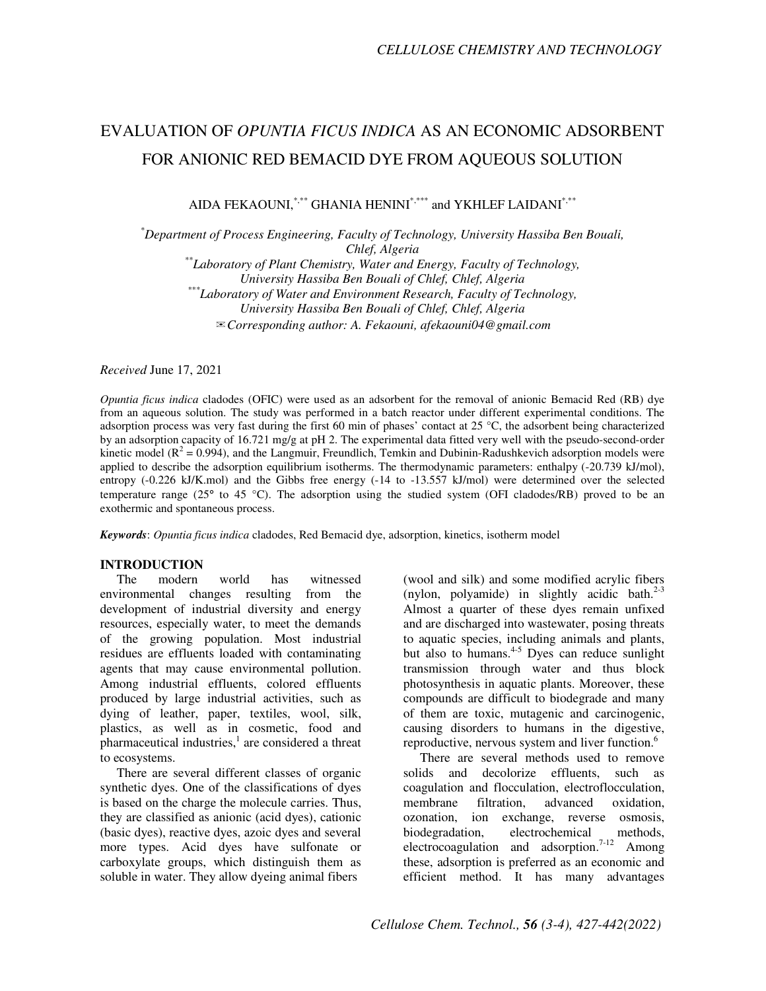## EVALUATION OF *OPUNTIA FICUS INDICA* AS AN ECONOMIC ADSORBENT FOR ANIONIC RED BEMACID DYE FROM AQUEOUS SOLUTION

AIDA FEKAOUNI, \*,\*\* GHANIA HENINI\*,\*\*\* and YKHLEF LAIDANI\*,\*\*\*

*\*Department of Process Engineering, Faculty of Technology, University Hassiba Ben Bouali, Chlef, Algeria* 

*\*\*Laboratory of Plant Chemistry, Water and Energy, Faculty of Technology, University Hassiba Ben Bouali of Chlef, Chlef, Algeria \*\*\*Laboratory of Water and Environment Research, Faculty of Technology, University Hassiba Ben Bouali of Chlef, Chlef, Algeria*  ✉*Corresponding author: A. Fekaouni, afekaouni04@gmail.com* 

*Received* June 17, 2021

*Opuntia ficus indica* cladodes (OFIC) were used as an adsorbent for the removal of anionic Bemacid Red (RB) dye from an aqueous solution. The study was performed in a batch reactor under different experimental conditions. The adsorption process was very fast during the first 60 min of phases' contact at 25 °C, the adsorbent being characterized by an adsorption capacity of 16.721 mg/g at pH 2. The experimental data fitted very well with the pseudo-second-order kinetic model ( $R^2 = 0.994$ ), and the Langmuir, Freundlich, Temkin and Dubinin-Radushkevich adsorption models were applied to describe the adsorption equilibrium isotherms. The thermodynamic parameters: enthalpy (-20.739 kJ/mol), entropy (-0.226 kJ/K.mol) and the Gibbs free energy (-14 to -13.557 kJ/mol) were determined over the selected temperature range (25° to 45 °C). The adsorption using the studied system (OFI cladodes/RB) proved to be an exothermic and spontaneous process.

*Keywords*: *Opuntia ficus indica* cladodes, Red Bemacid dye, adsorption, kinetics, isotherm model

# **INTRODUCTION**

The modern world has witnessed environmental changes resulting from the development of industrial diversity and energy resources, especially water, to meet the demands of the growing population. Most industrial residues are effluents loaded with contaminating agents that may cause environmental pollution. Among industrial effluents, colored effluents produced by large industrial activities, such as dying of leather, paper, textiles, wool, silk, plastics, as well as in cosmetic, food and  $p$ harmaceutical industries, $\frac{1}{2}$  are considered a threat to ecosystems.

There are several different classes of organic synthetic dyes. One of the classifications of dyes is based on the charge the molecule carries. Thus, they are classified as anionic (acid dyes), cationic (basic dyes), reactive dyes, azoic dyes and several more types. Acid dyes have sulfonate or carboxylate groups, which distinguish them as soluble in water. They allow dyeing animal fibers

(wool and silk) and some modified acrylic fibers (nylon, polyamide) in slightly acidic bath. $2-3$ Almost a quarter of these dyes remain unfixed and are discharged into wastewater, posing threats to aquatic species, including animals and plants, but also to humans. $4-5$  Dyes can reduce sunlight transmission through water and thus block photosynthesis in aquatic plants. Moreover, these compounds are difficult to biodegrade and many of them are toxic, mutagenic and carcinogenic, causing disorders to humans in the digestive, reproductive, nervous system and liver function.<sup>6</sup>

There are several methods used to remove solids and decolorize effluents, such as coagulation and flocculation, electroflocculation, membrane filtration, advanced oxidation, ozonation, ion exchange, reverse osmosis, biodegradation, electrochemical methods, electrocoagulation, electrocoagulation and adsorption.<sup>7-12</sup> Among these, adsorption is preferred as an economic and efficient method. It has many advantages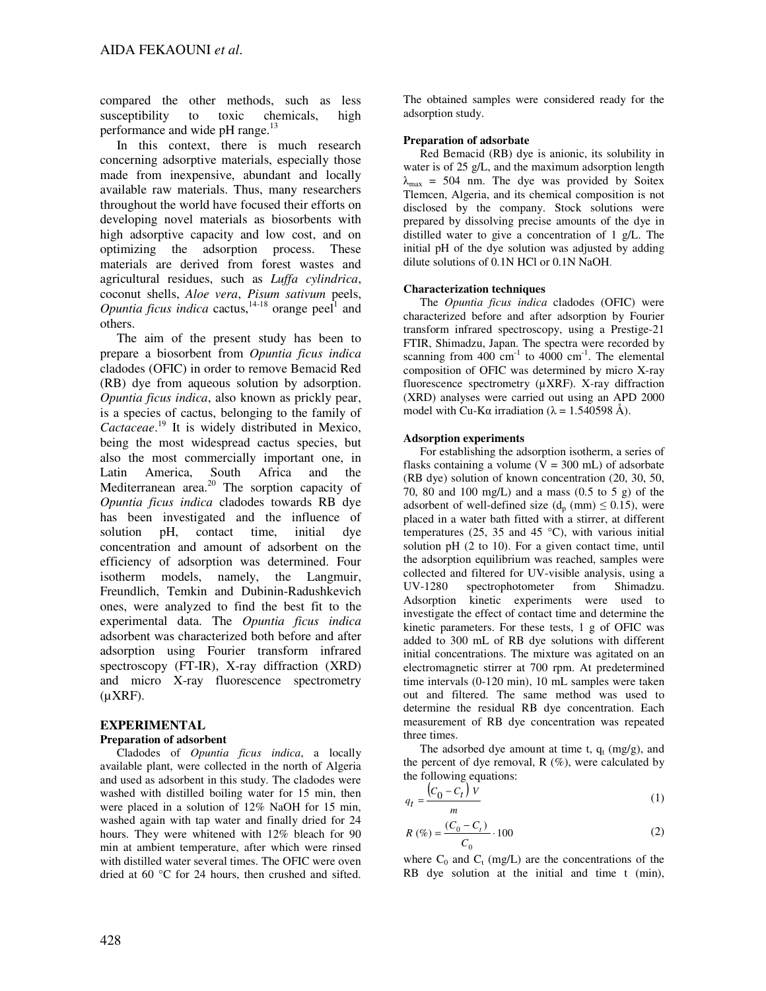compared the other methods, such as less susceptibility to toxic chemicals, high performance and wide pH range. $^{13}$ 

In this context, there is much research concerning adsorptive materials, especially those made from inexpensive, abundant and locally available raw materials. Thus, many researchers throughout the world have focused their efforts on developing novel materials as biosorbents with high adsorptive capacity and low cost, and on optimizing the adsorption process. These materials are derived from forest wastes and agricultural residues, such as *Luffa cylindrica*, coconut shells, *Aloe vera*, *Pisum sativum* peels, *Opuntia ficus indica* cactus,  $14-18$  orange peel<sup>1</sup> and others.

The aim of the present study has been to prepare a biosorbent from *Opuntia ficus indica* cladodes (OFIC) in order to remove Bemacid Red (RB) dye from aqueous solution by adsorption. *Opuntia ficus indica*, also known as prickly pear, is a species of cactus, belonging to the family of *Cactaceae*. <sup>19</sup> It is widely distributed in Mexico, being the most widespread cactus species, but also the most commercially important one, in Latin America, South Africa and the Mediterranean area.<sup>20</sup> The sorption capacity of *Opuntia ficus indica* cladodes towards RB dye has been investigated and the influence of solution pH, contact time, initial dye concentration and amount of adsorbent on the efficiency of adsorption was determined. Four isotherm models, namely, the Langmuir, Freundlich, Temkin and Dubinin-Radushkevich ones, were analyzed to find the best fit to the experimental data. The *Opuntia ficus indica* adsorbent was characterized both before and after adsorption using Fourier transform infrared spectroscopy (FT-IR), X-ray diffraction (XRD) and micro X-ray fluorescence spectrometry  $(\mu XRF)$ .

## **EXPERIMENTAL**

#### **Preparation of adsorbent**

Cladodes of *Opuntia ficus indica*, a locally available plant, were collected in the north of Algeria and used as adsorbent in this study. The cladodes were washed with distilled boiling water for 15 min, then were placed in a solution of 12% NaOH for 15 min, washed again with tap water and finally dried for 24 hours. They were whitened with 12% bleach for 90 min at ambient temperature, after which were rinsed with distilled water several times. The OFIC were oven dried at 60 °C for 24 hours, then crushed and sifted.

The obtained samples were considered ready for the adsorption study.

#### **Preparation of adsorbate**

Red Bemacid (RB) dye is anionic, its solubility in water is of 25 g/L, and the maximum adsorption length  $\lambda_{\text{max}}$  = 504 nm. The dye was provided by Soitex Tlemcen, Algeria, and its chemical composition is not disclosed by the company. Stock solutions were prepared by dissolving precise amounts of the dye in distilled water to give a concentration of 1 g/L. The initial pH of the dye solution was adjusted by adding dilute solutions of 0.1N HCl or 0.1N NaOH.

#### **Characterization techniques**

The *Opuntia ficus indica* cladodes (OFIC) were characterized before and after adsorption by Fourier transform infrared spectroscopy, using a Prestige-21 FTIR, Shimadzu, Japan. The spectra were recorded by scanning from  $400 \text{ cm}^{-1}$  to  $4000 \text{ cm}^{-1}$ . The elemental composition of OFIC was determined by micro X-ray fluorescence spectrometry (µXRF). X-ray diffraction (XRD) analyses were carried out using an APD 2000 model with Cu-K $\alpha$  irradiation ( $\lambda = 1.540598$  Å).

#### **Adsorption experiments**

For establishing the adsorption isotherm, a series of flasks containing a volume  $(V = 300$  mL) of adsorbate (RB dye) solution of known concentration (20, 30, 50, 70, 80 and 100 mg/L) and a mass (0.5 to 5 g) of the adsorbent of well-defined size  $(d_n (mm) \le 0.15)$ , were placed in a water bath fitted with a stirrer, at different temperatures (25, 35 and 45  $^{\circ}$ C), with various initial solution pH (2 to 10). For a given contact time, until the adsorption equilibrium was reached, samples were collected and filtered for UV-visible analysis, using a UV-1280 spectrophotometer from Shimadzu. Adsorption kinetic experiments were used to investigate the effect of contact time and determine the kinetic parameters. For these tests, 1 g of OFIC was added to 300 mL of RB dye solutions with different initial concentrations. The mixture was agitated on an electromagnetic stirrer at 700 rpm. At predetermined time intervals (0-120 min), 10 mL samples were taken out and filtered. The same method was used to determine the residual RB dye concentration. Each measurement of RB dye concentration was repeated three times.

The adsorbed dye amount at time t,  $q_t$  (mg/g), and the percent of dye removal,  $R$  (%), were calculated by the following equations:

$$
q_t = \frac{(C_0 - C_t) v}{m} \tag{1}
$$

$$
R\left(\% \right) = \frac{(C_0 - C_t)}{C_0} \cdot 100\tag{2}
$$

where  $C_0$  and  $C_t$  (mg/L) are the concentrations of the RB dye solution at the initial and time t (min),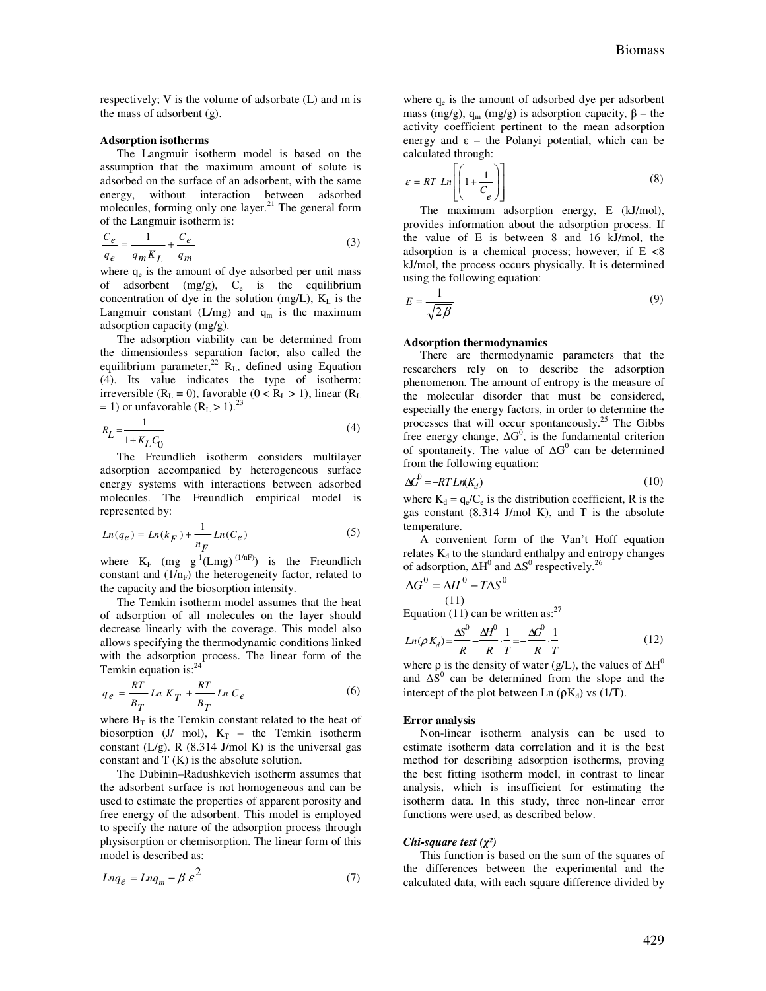respectively; V is the volume of adsorbate (L) and m is the mass of adsorbent (g).

#### **Adsorption isotherms**

The Langmuir isotherm model is based on the assumption that the maximum amount of solute is adsorbed on the surface of an adsorbent, with the same energy, without interaction between adsorbed molecules, forming only one layer. $^{21}$  The general form of the Langmuir isotherm is:

$$
\frac{C_e}{q_e} = \frac{1}{q_m K_L} + \frac{C_e}{q_m} \tag{3}
$$

where  $q_e$  is the amount of dye adsorbed per unit mass of adsorbent  $(mg/g)$ ,  $C_e$  is the equilibrium concentration of dye in the solution (mg/L),  $K_L$  is the Langmuir constant (L/mg) and  $q_m$  is the maximum adsorption capacity (mg/g).

The adsorption viability can be determined from the dimensionless separation factor, also called the equilibrium parameter,<sup>22</sup> R<sub>L</sub>, defined using Equation (4). Its value indicates the type of isotherm: irreversible ( $R_L = 0$ ), favorable ( $0 < R_L > 1$ ), linear ( $R_L$ )  $=$  1) or unfavorable (R<sub>L</sub> > 1).<sup>23</sup>

$$
R_L = \frac{1}{1 + K_L C_0} \tag{4}
$$

The Freundlich isotherm considers multilayer adsorption accompanied by heterogeneous surface energy systems with interactions between adsorbed molecules. The Freundlich empirical model is represented by:

$$
Ln(q_e) = Ln(k_F) + \frac{1}{n_F} Ln(C_e)
$$
 (5)

where  $K_F$  (mg  $g^{-1}(Lmg)^{-(1/nF)}$ ) is the Freundlich constant and  $(1/n_F)$  the heterogeneity factor, related to the capacity and the biosorption intensity.

The Temkin isotherm model assumes that the heat of adsorption of all molecules on the layer should decrease linearly with the coverage. This model also allows specifying the thermodynamic conditions linked with the adsorption process. The linear form of the Temkin equation is: $24$ 

$$
q_e = \frac{RT}{B_T} \ln K_T + \frac{RT}{B_T} \ln C_e \tag{6}
$$

where  $B_T$  is the Temkin constant related to the heat of biosorption (J/ mol),  $K_T$  – the Temkin isotherm constant  $(L/g)$ . R  $(8.314$  J/mol K) is the universal gas constant and T (K) is the absolute solution.

The Dubinin–Radushkevich isotherm assumes that the adsorbent surface is not homogeneous and can be used to estimate the properties of apparent porosity and free energy of the adsorbent. This model is employed to specify the nature of the adsorption process through physisorption or chemisorption. The linear form of this model is described as:

$$
L n q_e = L n q_m - \beta \varepsilon^2 \tag{7}
$$

where  $q_e$  is the amount of adsorbed dye per adsorbent mass (mg/g),  $q_m$  (mg/g) is adsorption capacity,  $β$  – the activity coefficient pertinent to the mean adsorption energy and  $\varepsilon$  – the Polanyi potential, which can be calculated through:

$$
\varepsilon = RT \, Ln\left[ \left( 1 + \frac{1}{C_e} \right) \right] \tag{8}
$$

The maximum adsorption energy, E (kJ/mol), provides information about the adsorption process. If the value of E is between 8 and 16 kJ/mol, the adsorption is a chemical process; however, if  $E < 8$ kJ/mol, the process occurs physically. It is determined using the following equation:

$$
E = \frac{1}{\sqrt{2\beta}}\tag{9}
$$

#### **Adsorption thermodynamics**

There are thermodynamic parameters that the researchers rely on to describe the adsorption phenomenon. The amount of entropy is the measure of the molecular disorder that must be considered, especially the energy factors, in order to determine the processes that will occur spontaneously.<sup>25</sup> The Gibbs free energy change,  $\Delta G^0$ , is the fundamental criterion of spontaneity. The value of  $\Delta G^0$  can be determined from the following equation:

$$
\Delta G^0 = -RTLn(K_d) \tag{10}
$$

where  $K_d = q_e/C_e$  is the distribution coefficient, R is the gas constant (8.314 J/mol K), and T is the absolute temperature.

A convenient form of the Van't Hoff equation relates  $K_d$  to the standard enthalpy and entropy changes of adsorption,  $\Delta H^0$  and  $\Delta S^0$  respectively.<sup>26</sup>

$$
\Delta G^0 = \Delta H^0 - T\Delta S^0
$$
\n(11)

Equation (11) can be written as:  $27$ 

$$
Ln(\rho K_d) = \frac{\Delta S^0}{R} - \frac{\Delta H^0}{R} \cdot \frac{1}{T} = -\frac{\Delta G^0}{R} \cdot \frac{1}{T}
$$
 (12)

where  $\rho$  is the density of water (g/L), the values of  $\Delta H^0$ and  $\Delta S^0$  can be determined from the slope and the intercept of the plot between Ln  $(\rho K_d)$  vs (1/T).

#### **Error analysis**

Non-linear isotherm analysis can be used to estimate isotherm data correlation and it is the best method for describing adsorption isotherms, proving the best fitting isotherm model, in contrast to linear analysis, which is insufficient for estimating the isotherm data. In this study, three non-linear error functions were used, as described below.

#### *Chi-square test (*χ*²)*

This function is based on the sum of the squares of the differences between the experimental and the calculated data, with each square difference divided by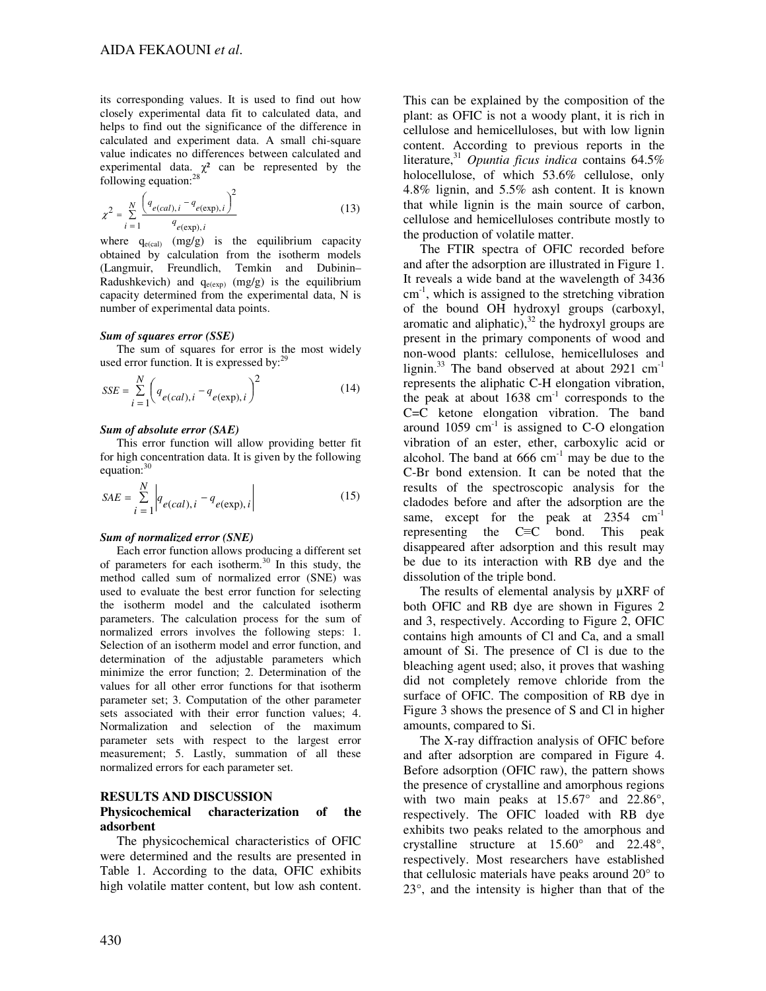its corresponding values. It is used to find out how closely experimental data fit to calculated data, and helps to find out the significance of the difference in calculated and experiment data. A small chi-square value indicates no differences between calculated and experimental data.  $\chi^2$  can be represented by the following equation:<sup>28</sup>

$$
\chi^{2} = \sum_{i=1}^{N} \frac{\left(q_{e(cd), i} - q_{e(exp), i}\right)^{2}}{q_{e(exp), i}}
$$
(13)

where  $q_{e(cal)}$  (mg/g) is the equilibrium capacity obtained by calculation from the isotherm models (Langmuir, Freundlich, Temkin and Dubinin– Radushkevich) and  $q_{e(exp)}$  (mg/g) is the equilibrium capacity determined from the experimental data, N is number of experimental data points.

#### *Sum of squares error (SSE)*

The sum of squares for error is the most widely used error function. It is expressed by:<sup>29</sup>

$$
SSE = \sum_{i=1}^{N} \left( q_{e(cal), i} - q_{e(\exp), i} \right)^2
$$
 (14)

#### *Sum of absolute error (SAE)*

This error function will allow providing better fit for high concentration data. It is given by the following equation: $30$ 

$$
SAE = \sum_{i=1}^{N} \left| q_{e(cal), i} - q_{e(\exp), i} \right|
$$
 (15)

#### *Sum of normalized error (SNE)*

Each error function allows producing a different set of parameters for each isotherm.<sup>30</sup> In this study, the method called sum of normalized error (SNE) was used to evaluate the best error function for selecting the isotherm model and the calculated isotherm parameters. The calculation process for the sum of normalized errors involves the following steps: 1. Selection of an isotherm model and error function, and determination of the adjustable parameters which minimize the error function; 2. Determination of the values for all other error functions for that isotherm parameter set; 3. Computation of the other parameter sets associated with their error function values; 4. Normalization and selection of the maximum parameter sets with respect to the largest error measurement; 5. Lastly, summation of all these normalized errors for each parameter set.

#### **RESULTS AND DISCUSSION**

## **Physicochemical characterization of the adsorbent**

The physicochemical characteristics of OFIC were determined and the results are presented in Table 1. According to the data, OFIC exhibits high volatile matter content, but low ash content.

This can be explained by the composition of the plant: as OFIC is not a woody plant, it is rich in cellulose and hemicelluloses, but with low lignin content. According to previous reports in the literature,<sup>31</sup> *Opuntia ficus indica* contains 64.5% holocellulose, of which 53.6% cellulose, only 4.8% lignin, and 5.5% ash content. It is known that while lignin is the main source of carbon, cellulose and hemicelluloses contribute mostly to the production of volatile matter.

The FTIR spectra of OFIC recorded before and after the adsorption are illustrated in Figure 1. It reveals a wide band at the wavelength of 3436  $cm<sup>-1</sup>$ , which is assigned to the stretching vibration of the bound OH hydroxyl groups (carboxyl, aromatic and aliphatic), $32$  the hydroxyl groups are present in the primary components of wood and non-wood plants: cellulose, hemicelluloses and lignin.<sup>33</sup> The band observed at about 2921  $cm^{-1}$ represents the aliphatic C-H elongation vibration, the peak at about  $1638 \text{ cm}^{-1}$  corresponds to the C=C ketone elongation vibration. The band around  $1059 \text{ cm}^{-1}$  is assigned to C-O elongation vibration of an ester, ether, carboxylic acid or alcohol. The band at  $666 \text{ cm}^{-1}$  may be due to the C-Br bond extension. It can be noted that the results of the spectroscopic analysis for the cladodes before and after the adsorption are the same, except for the peak at 2354 cm<sup>-1</sup> representing the C≡C bond. This peak disappeared after adsorption and this result may be due to its interaction with RB dye and the dissolution of the triple bond.

The results of elemental analysis by  $\mu XRF$  of both OFIC and RB dye are shown in Figures 2 and 3, respectively. According to Figure 2, OFIC contains high amounts of Cl and Ca, and a small amount of Si. The presence of Cl is due to the bleaching agent used; also, it proves that washing did not completely remove chloride from the surface of OFIC. The composition of RB dye in Figure 3 shows the presence of S and Cl in higher amounts, compared to Si.

The X-ray diffraction analysis of OFIC before and after adsorption are compared in Figure 4. Before adsorption (OFIC raw), the pattern shows the presence of crystalline and amorphous regions with two main peaks at  $15.67^{\circ}$  and  $22.86^{\circ}$ , respectively. The OFIC loaded with RB dye exhibits two peaks related to the amorphous and crystalline structure at 15.60° and 22.48°, respectively. Most researchers have established that cellulosic materials have peaks around 20° to 23°, and the intensity is higher than that of the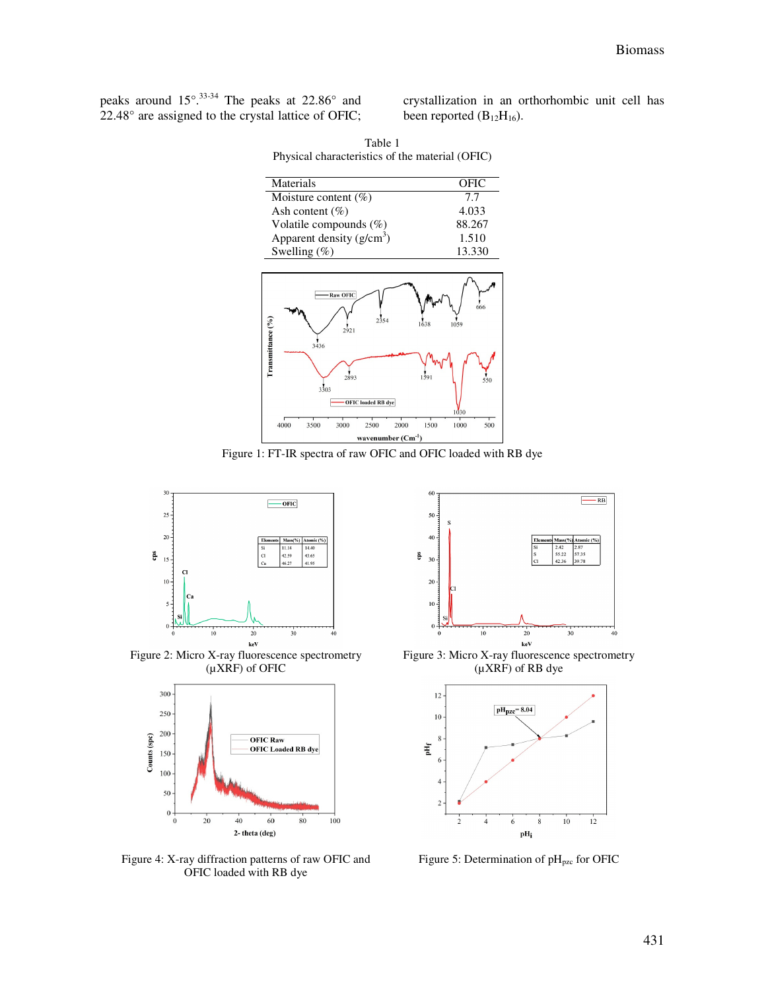peaks around 15°.33-34 The peaks at 22.86° and 22.48° are assigned to the crystal lattice of OFIC;

crystallization in an orthorhombic unit cell has been reported  $(B_{12}H_{16})$ .

| Materials                  | OFIC   |
|----------------------------|--------|
| Moisture content $(\%)$    | 7.7    |
| Ash content $(\% )$        | 4.033  |
| Volatile compounds (%)     | 88.267 |
| Apparent density $(g/cm3)$ | 1.510  |
| Swelling $(\%)$            | 13.330 |
|                            |        |
| - Raw OFIC                 |        |

Table 1 Physical characteristics of the material (OFIC)



Figure 1: FT-IR spectra of raw OFIC and OFIC loaded with RB dye



Figure 2: Micro X-ray fluorescence spectrometry (µXRF) of OFIC



Figure 4: X-ray diffraction patterns of raw OFIC and OFIC loaded with RB dye



Figure 3: Micro X-ray fluorescence spectrometry (µXRF) of RB dye



Figure 5: Determination of  $pH_{pzc}$  for OFIC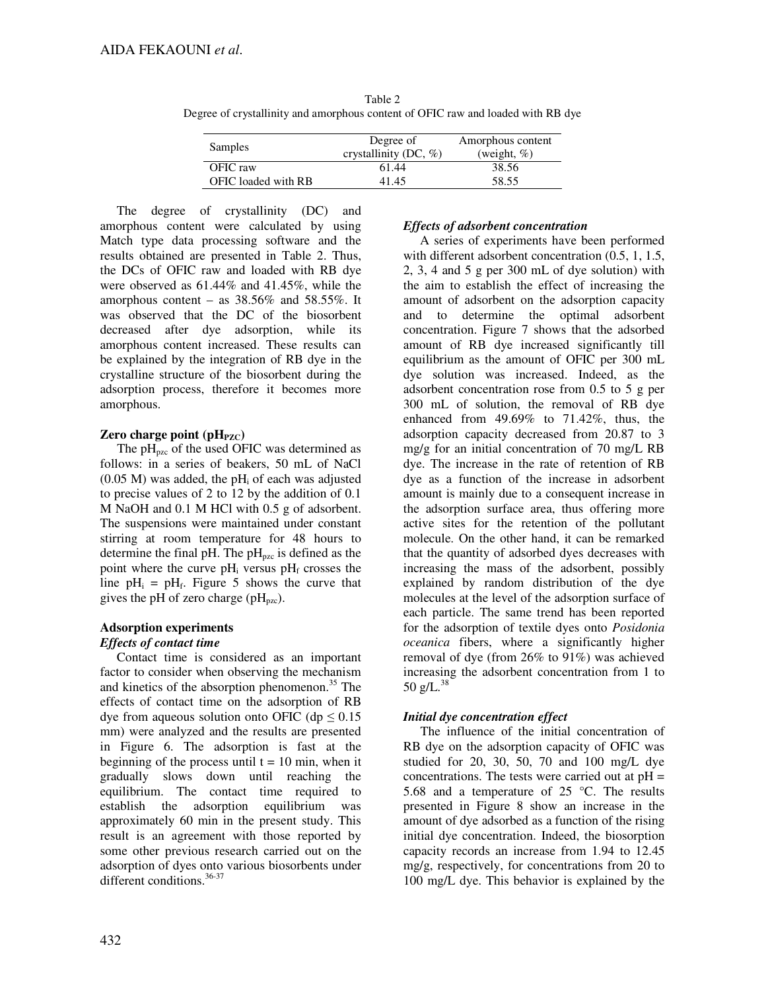|                | $\mathcal{L}$ gives of crystallinity and alliof phous content of OFIC raw and loaded with KD dy |                   |
|----------------|-------------------------------------------------------------------------------------------------|-------------------|
|                | Degree of                                                                                       | Amorphous content |
| <b>Samples</b> | crystallinity (DC, $\%$ )                                                                       | (weight, $\%$ )   |

OFIC raw 61.44 38.56 OFIC loaded with RB 41.45 58.55

Table 2 Degree of crystallinity and amorphous content of OFIC raw and loaded with RB dye

The degree of crystallinity (DC) and amorphous content were calculated by using Match type data processing software and the results obtained are presented in Table 2. Thus, the DCs of OFIC raw and loaded with RB dye were observed as 61.44% and 41.45%, while the amorphous content – as  $38.56\%$  and  $58.55\%$ . It was observed that the DC of the biosorbent decreased after dye adsorption, while its amorphous content increased. These results can be explained by the integration of RB dye in the crystalline structure of the biosorbent during the adsorption process, therefore it becomes more amorphous.

## **Zero charge point (pH<sub>PZC</sub>)**

The  $pH_{pzc}$  of the used OFIC was determined as follows: in a series of beakers, 50 mL of NaCl  $(0.05 \text{ M})$  was added, the pH<sub>i</sub> of each was adjusted to precise values of 2 to 12 by the addition of 0.1 M NaOH and 0.1 M HCl with 0.5 g of adsorbent. The suspensions were maintained under constant stirring at room temperature for 48 hours to determine the final pH. The  $pH_{pzc}$  is defined as the point where the curve  $pH_i$  versus  $pH_f$  crosses the line  $pH_i = pH_f$ . Figure 5 shows the curve that gives the pH of zero charge ( $pH_{pzc}$ ).

## **Adsorption experiments**

## *Effects of contact time*

Contact time is considered as an important factor to consider when observing the mechanism and kinetics of the absorption phenomenon.<sup>35</sup> The effects of contact time on the adsorption of RB dye from aqueous solution onto OFIC (dp  $\leq 0.15$ ) mm) were analyzed and the results are presented in Figure 6. The adsorption is fast at the beginning of the process until  $t = 10$  min, when it gradually slows down until reaching the equilibrium. The contact time required to establish the adsorption equilibrium was approximately 60 min in the present study. This result is an agreement with those reported by some other previous research carried out on the adsorption of dyes onto various biosorbents under different conditions.<sup>36-37</sup>

## *Effects of adsorbent concentration*

A series of experiments have been performed with different adsorbent concentration  $(0.5, 1, 1.5,$ 2, 3, 4 and 5 g per 300 mL of dye solution) with the aim to establish the effect of increasing the amount of adsorbent on the adsorption capacity and to determine the optimal adsorbent concentration. Figure 7 shows that the adsorbed amount of RB dye increased significantly till equilibrium as the amount of OFIC per 300 mL dye solution was increased. Indeed, as the adsorbent concentration rose from 0.5 to 5 g per 300 mL of solution, the removal of RB dye enhanced from 49.69% to 71.42%, thus, the adsorption capacity decreased from 20.87 to 3 mg/g for an initial concentration of 70 mg/L RB dye. The increase in the rate of retention of RB dye as a function of the increase in adsorbent amount is mainly due to a consequent increase in the adsorption surface area, thus offering more active sites for the retention of the pollutant molecule. On the other hand, it can be remarked that the quantity of adsorbed dyes decreases with increasing the mass of the adsorbent, possibly explained by random distribution of the dye molecules at the level of the adsorption surface of each particle. The same trend has been reported for the adsorption of textile dyes onto *Posidonia oceanica* fibers, where a significantly higher removal of dye (from 26% to 91%) was achieved increasing the adsorbent concentration from 1 to 50 g/L. $^{38}$ 

## *Initial dye concentration effect*

The influence of the initial concentration of RB dye on the adsorption capacity of OFIC was studied for 20, 30, 50, 70 and 100 mg/L dye concentrations. The tests were carried out at  $pH =$ 5.68 and a temperature of 25 °C. The results presented in Figure 8 show an increase in the amount of dye adsorbed as a function of the rising initial dye concentration. Indeed, the biosorption capacity records an increase from 1.94 to 12.45 mg/g, respectively, for concentrations from 20 to 100 mg/L dye. This behavior is explained by the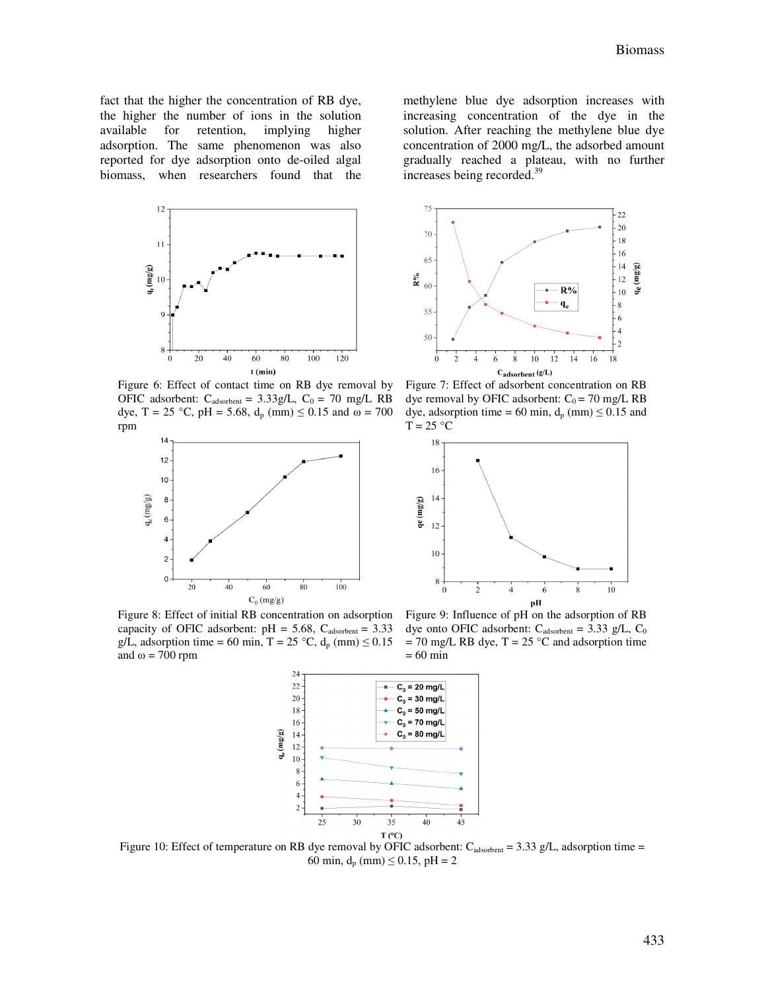$\overline{2}$ 

fact that the higher the concentration of RB dye, the higher the number of ions in the solution available for retention, implying higher adsorption. The same phenomenon was also reported for dye adsorption onto de-oiled algal biomass, when researchers found that the



 $75$  $22$  $20$ 70 18 16 65  $14$  $(mg/g)$  $\mathbb{R}^{9/6}$ 12 60  $R%$  $\mathbf{e}$  $10\,$  $q_e$ 8 55  $\sqrt{6}$  $\overline{4}$ 

methylene blue dye adsorption increases with increasing concentration of the dye in the solution. After reaching the methylene blue dye concentration of 2000 mg/L, the adsorbed amount gradually reached a plateau, with no further

increases being recorded.<sup>39</sup>

50

 $\mathbf{0}$ 

8 Cadsorbent (g/L)

 $10$  $12$  14 16 18

Figure 6: Effect of contact time on RB dye removal by OFIC adsorbent:  $C_{adsorbent} = 3.33g/L$ ,  $C_0 = 70$  mg/L RB dye, T = 25 °C, pH = 5.68,  $d_p$  (mm)  $\leq$  0.15 and  $\omega$  = 700 rpm



Figure 7: Effect of adsorbent concentration on RB dye removal by OFIC adsorbent:  $C_0 = 70$  mg/L RB dye, adsorption time = 60 min,  $d_p$  (mm)  $\leq$  0.15 and  $T = 25 °C$ 



Figure 8: Effect of initial RB concentration on adsorption capacity of OFIC adsorbent:  $pH = 5.68$ ,  $C_{adsorbent} = 3.33$ g/L, adsorption time = 60 min, T = 25 °C,  $d_p$  (mm)  $\leq$  0.15 and  $ω = 700$  rpm

Figure 9: Influence of pH on the adsorption of RB dye onto OFIC adsorbent:  $C_{adsorbent} = 3.33$  g/L,  $C_0$  $= 70$  mg/L RB dye, T = 25 °C and adsorption time = 60 min



Figure 10: Effect of temperature on RB dye removal by OFIC adsorbent:  $C_{\text{adsorbent}} = 3.33 \text{ g/L}$ , adsorption time = 60 min,  $d_p$  (mm)  $\leq$  0.15, pH = 2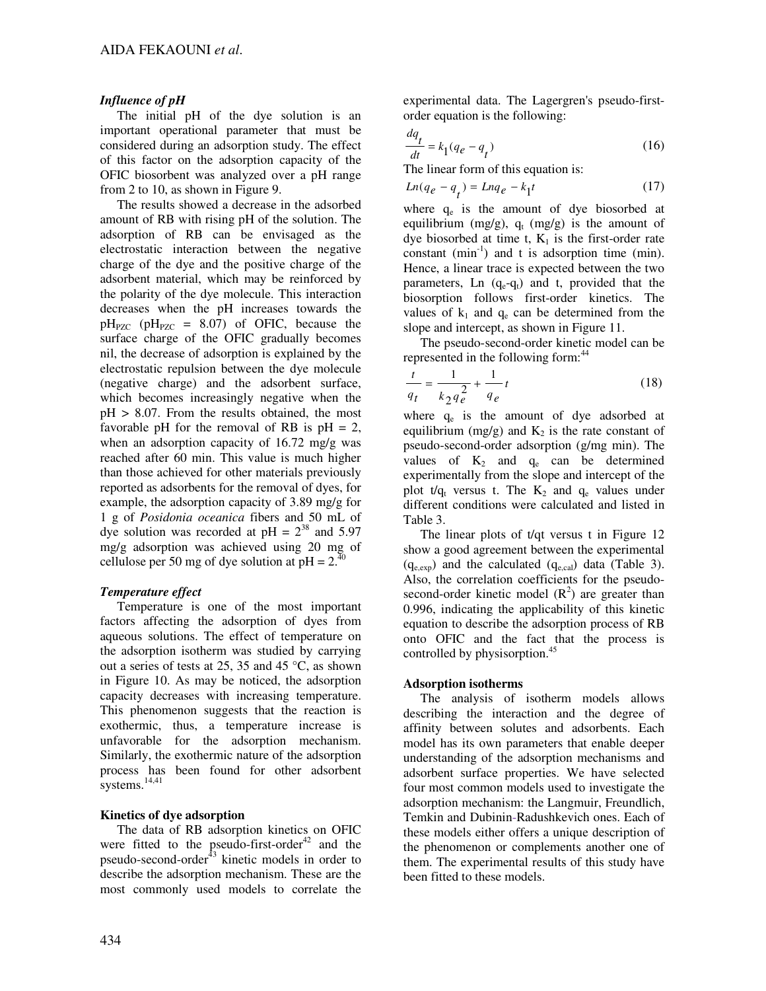## *Influence of pH*

The initial pH of the dye solution is an important operational parameter that must be considered during an adsorption study. The effect of this factor on the adsorption capacity of the OFIC biosorbent was analyzed over a pH range from 2 to 10, as shown in Figure 9.

The results showed a decrease in the adsorbed amount of RB with rising pH of the solution. The adsorption of RB can be envisaged as the electrostatic interaction between the negative charge of the dye and the positive charge of the adsorbent material, which may be reinforced by the polarity of the dye molecule. This interaction decreases when the pH increases towards the  $pH_{PZC}$  ( $pH_{PZC}$  = 8.07) of OFIC, because the surface charge of the OFIC gradually becomes nil, the decrease of adsorption is explained by the electrostatic repulsion between the dye molecule (negative charge) and the adsorbent surface, which becomes increasingly negative when the pH > 8.07. From the results obtained, the most favorable pH for the removal of RB is  $pH = 2$ , when an adsorption capacity of 16.72 mg/g was reached after 60 min. This value is much higher than those achieved for other materials previously reported as adsorbents for the removal of dyes, for example, the adsorption capacity of 3.89 mg/g for 1 g of *Posidonia oceanica* fibers and 50 mL of dye solution was recorded at  $pH = 2^{38}$  and 5.97 mg/g adsorption was achieved using 20 mg of cellulose per 50 mg of dye solution at  $pH = 2^{\frac{3}{4}}$ 

## *Temperature effect*

Temperature is one of the most important factors affecting the adsorption of dyes from aqueous solutions. The effect of temperature on the adsorption isotherm was studied by carrying out a series of tests at 25, 35 and 45 °C, as shown in Figure 10. As may be noticed, the adsorption capacity decreases with increasing temperature. This phenomenon suggests that the reaction is exothermic, thus, a temperature increase is unfavorable for the adsorption mechanism. Similarly, the exothermic nature of the adsorption process has been found for other adsorbent systems.<sup>14,41</sup>

## **Kinetics of dye adsorption**

The data of RB adsorption kinetics on OFIC were fitted to the pseudo-first-order<sup>42</sup> and the pseudo-second-order $43$  kinetic models in order to describe the adsorption mechanism. These are the most commonly used models to correlate the

experimental data. The Lagergren's pseudo-firstorder equation is the following:

$$
\frac{dq_t}{dt} = k_1(q_e - q_t) \tag{16}
$$

The linear form of this equation is:

$$
Ln(q_e - q_t) = Lnq_e - k_1 t \tag{17}
$$

where  $q_e$  is the amount of dye biosorbed at equilibrium (mg/g),  $q_t$  (mg/g) is the amount of dye biosorbed at time t,  $K_1$  is the first-order rate constant  $(min^{-1})$  and t is adsorption time  $(min)$ . Hence, a linear trace is expected between the two parameters, Ln  $(q_e-q_t)$  and t, provided that the biosorption follows first-order kinetics. The values of  $k_1$  and  $q_e$  can be determined from the slope and intercept, as shown in Figure 11.

The pseudo-second-order kinetic model can be represented in the following form:<sup>44</sup>

$$
\frac{t}{q_t} = \frac{1}{k_2 q_e^2} + \frac{1}{q_e} t
$$
 (18)

where  $q_e$  is the amount of dye adsorbed at equilibrium (mg/g) and  $K_2$  is the rate constant of pseudo-second-order adsorption (g/mg min). The values of  $K_2$  and  $q_e$  can be determined experimentally from the slope and intercept of the plot  $t/q_t$  versus t. The  $K_2$  and  $q_e$  values under different conditions were calculated and listed in Table 3.

The linear plots of t/qt versus t in Figure 12 show a good agreement between the experimental  $(q_{e,exp})$  and the calculated  $(q_{e,cal})$  data (Table 3). Also, the correlation coefficients for the pseudosecond-order kinetic model  $(R^2)$  are greater than 0.996, indicating the applicability of this kinetic equation to describe the adsorption process of RB onto OFIC and the fact that the process is controlled by physisorption.<sup>45</sup>

## **Adsorption isotherms**

The analysis of isotherm models allows describing the interaction and the degree of affinity between solutes and adsorbents. Each model has its own parameters that enable deeper understanding of the adsorption mechanisms and adsorbent surface properties. We have selected four most common models used to investigate the adsorption mechanism: the Langmuir, Freundlich, Temkin and Dubinin-Radushkevich ones. Each of these models either offers a unique description of the phenomenon or complements another one of them. The experimental results of this study have been fitted to these models.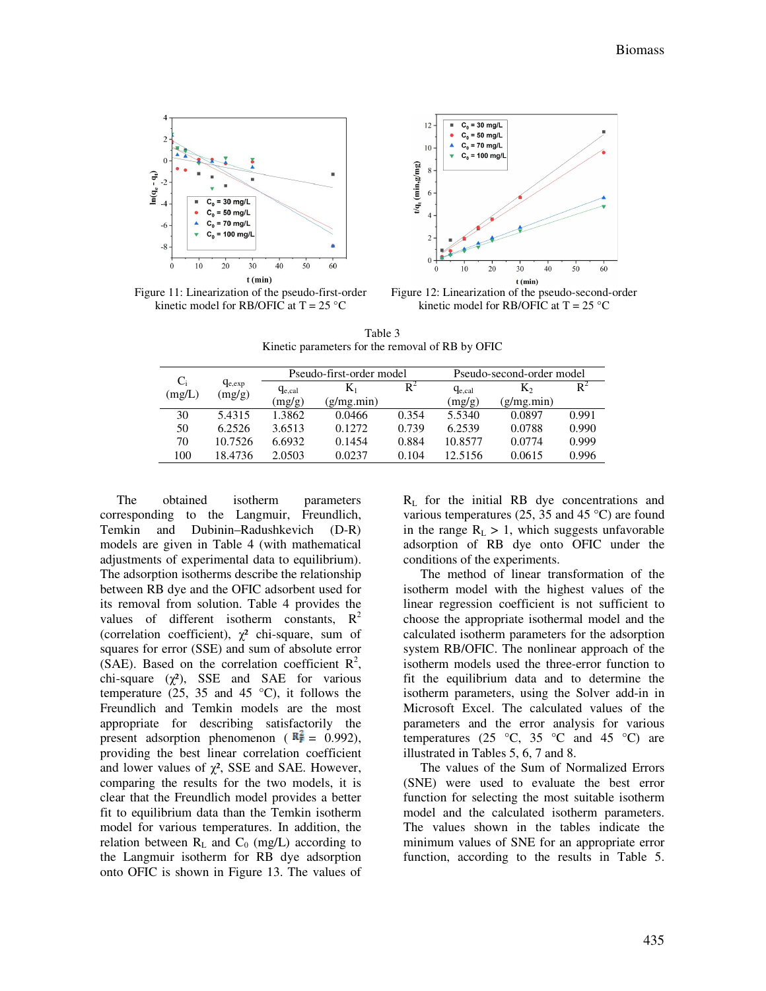

Figure 11: Linearization of the pseudo-first-order kinetic model for RB/OFIC at  $T = 25$  °C



Figure 12: Linearization of the pseudo-second-order kinetic model for RB/OFIC at  $T = 25$  °C

Table 3 Kinetic parameters for the removal of RB by OFIC

|        |             |             | Pseudo-first-order model |                |             | Pseudo-second-order model |       |
|--------|-------------|-------------|--------------------------|----------------|-------------|---------------------------|-------|
| $C_i$  | $q_{e,exp}$ | $q_{e,cal}$ | $K_1$                    | $\mathrm{R}^2$ | $q_{e,cal}$ | K2                        | $R^2$ |
| (mg/L) | (mg/g)      | (mg/g)      | (g/mg.min)               |                | (mg/g)      | (g/mg.min)                |       |
| 30     | 5.4315      | 1.3862      | 0.0466                   | 0.354          | 5.5340      | 0.0897                    | 0.991 |
| 50     | 6.2526      | 3.6513      | 0.12.72                  | 0.739          | 6.2539      | 0.0788                    | 0.990 |
| 70     | 10.7526     | 6.6932      | 0.1454                   | 0.884          | 10.8577     | 0.0774                    | 0.999 |
| 100    | 18.4736     | 2.0503      | 0.0237                   | 0.104          | 12.5156     | 0.0615                    | 0.996 |
|        |             |             |                          |                |             |                           |       |

The obtained isotherm parameters corresponding to the Langmuir, Freundlich, Temkin and Dubinin–Radushkevich (D-R) models are given in Table 4 (with mathematical adjustments of experimental data to equilibrium). The adsorption isotherms describe the relationship between RB dye and the OFIC adsorbent used for its removal from solution. Table 4 provides the values of different isotherm constants,  $R^2$ (correlation coefficient),  $\chi^2$  chi-square, sum of squares for error (SSE) and sum of absolute error (SAE). Based on the correlation coefficient  $\mathbb{R}^2$ , chi-square  $(\chi^2)$ , SSE and SAE for various temperature (25, 35 and 45  $^{\circ}$ C), it follows the Freundlich and Temkin models are the most appropriate for describing satisfactorily the present adsorption phenomenon ( $\mathbb{R}^2 = 0.992$ ), providing the best linear correlation coefficient and lower values of  $\chi^2$ , SSE and SAE. However, comparing the results for the two models, it is clear that the Freundlich model provides a better fit to equilibrium data than the Temkin isotherm model for various temperatures. In addition, the relation between  $R_L$  and  $C_0$  (mg/L) according to the Langmuir isotherm for RB dye adsorption onto OFIC is shown in Figure 13. The values of

 $R<sub>L</sub>$  for the initial RB dye concentrations and various temperatures (25, 35 and 45 °C) are found in the range  $R_L > 1$ , which suggests unfavorable adsorption of RB dye onto OFIC under the conditions of the experiments.

The method of linear transformation of the isotherm model with the highest values of the linear regression coefficient is not sufficient to choose the appropriate isothermal model and the calculated isotherm parameters for the adsorption system RB/OFIC. The nonlinear approach of the isotherm models used the three-error function to fit the equilibrium data and to determine the isotherm parameters, using the Solver add-in in Microsoft Excel. The calculated values of the parameters and the error analysis for various temperatures (25  $\degree$ C, 35  $\degree$ C and 45  $\degree$ C) are illustrated in Tables 5, 6, 7 and 8.

The values of the Sum of Normalized Errors (SNE) were used to evaluate the best error function for selecting the most suitable isotherm model and the calculated isotherm parameters. The values shown in the tables indicate the minimum values of SNE for an appropriate error function, according to the results in Table 5.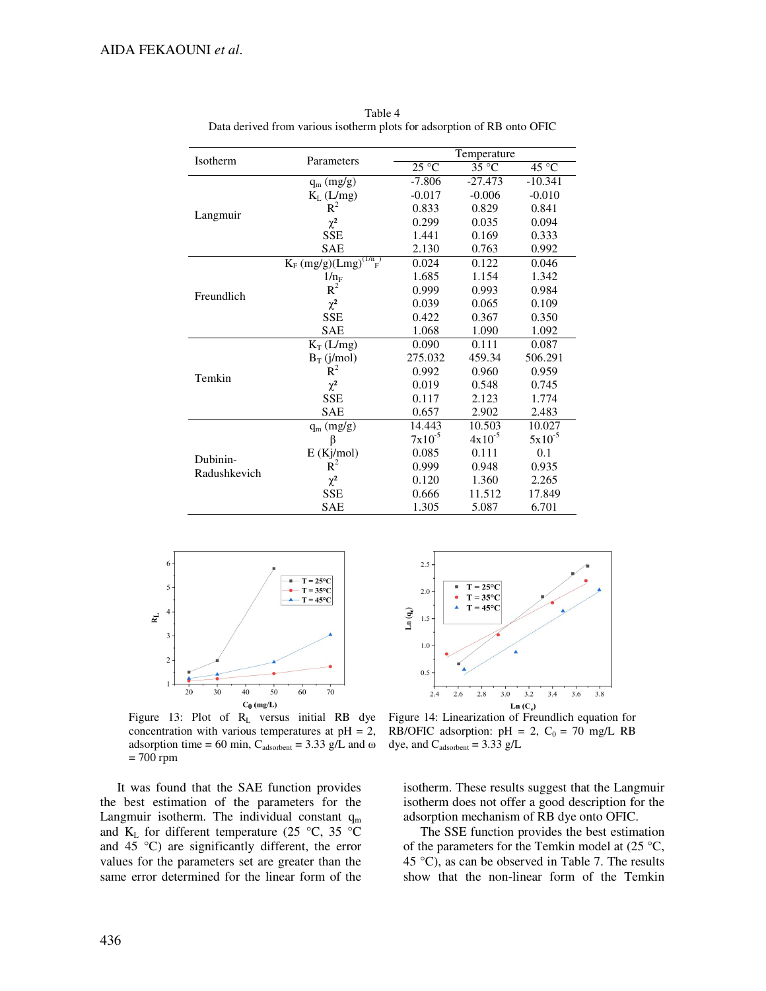|              |                                                  |             | Temperature |             |  |  |
|--------------|--------------------------------------------------|-------------|-------------|-------------|--|--|
| Isotherm     | Parameters                                       | 25 °C       | 35 °C       | 45 °C       |  |  |
|              | $q_m$ (mg/g)                                     | $-7.806$    | $-27.473$   | $-10.341$   |  |  |
|              | $K_L$ (L/mg)                                     | $-0.017$    | $-0.006$    | $-0.010$    |  |  |
|              | $R^2$                                            | 0.833       | 0.829       | 0.841       |  |  |
| Langmuir     | $\chi^2$                                         | 0.299       | 0.035       | 0.094       |  |  |
|              | <b>SSE</b>                                       | 1.441       | 0.169       | 0.333       |  |  |
|              | <b>SAE</b>                                       | 2.130       | 0.763       | 0.992       |  |  |
|              | $K_F$ (mg/g)(Lmg) <sup>(1/n</sup> <sub>F</sub> ) | 0.024       | 0.122       | 0.046       |  |  |
|              | $1/n_F$                                          | 1.685       | 1.154       | 1.342       |  |  |
| Freundlich   | $R^2$                                            | 0.999       | 0.993       | 0.984       |  |  |
|              | $\chi^2$                                         | 0.039       | 0.065       | 0.109       |  |  |
|              | <b>SSE</b>                                       | 0.422       | 0.367       | 0.350       |  |  |
|              | <b>SAE</b>                                       | 1.068       | 1.090       | 1.092       |  |  |
|              | $K_T(L/mg)$                                      | 0.090       | 0.111       | 0.087       |  |  |
|              | $B_T$ (j/mol)                                    | 275.032     | 459.34      | 506.291     |  |  |
| Temkin       | $R^2$                                            | 0.992       | 0.960       | 0.959       |  |  |
|              | $\chi^2$                                         | 0.019       | 0.548       | 0.745       |  |  |
|              | <b>SSE</b>                                       | 0.117       | 2.123       | 1.774       |  |  |
|              | <b>SAE</b>                                       | 0.657       | 2.902       | 2.483       |  |  |
|              | $q_m$ (mg/g)                                     | 14.443      | 10.503      | 10.027      |  |  |
|              | β                                                | $7x10^{-5}$ | $4x10^{-5}$ | $5x10^{-5}$ |  |  |
| Dubinin-     | E(Kj/mol)                                        | 0.085       | 0.111       | 0.1         |  |  |
| Radushkevich | $R^2$                                            | 0.999       | 0.948       | 0.935       |  |  |
|              | $\chi^2$                                         | 0.120       | 1.360       | 2.265       |  |  |
|              | <b>SSE</b>                                       | 0.666       | 11.512      | 17.849      |  |  |
|              | <b>SAE</b>                                       | 1.305       | 5.087       | 6.701       |  |  |

Table 4 Data derived from various isotherm plots for adsorption of RB onto OFIC



Figure 13: Plot of R<sub>L</sub> versus initial RB dye concentration with various temperatures at  $pH = 2$ , adsorption time = 60 min,  $C_{\text{adsorbent}}$  = 3.33 g/L and  $\omega$ = 700 rpm

It was found that the SAE function provides the best estimation of the parameters for the Langmuir isotherm. The individual constant  $q_m$ and  $K_L$  for different temperature (25 °C, 35 °C and 45 °C) are significantly different, the error values for the parameters set are greater than the same error determined for the linear form of the



Figure 14: Linearization of Freundlich equation for RB/OFIC adsorption:  $pH = 2$ ,  $C_0 = 70$  mg/L RB dye, and  $C_{adsorbent} = 3.33$  g/L

isotherm. These results suggest that the Langmuir isotherm does not offer a good description for the adsorption mechanism of RB dye onto OFIC.

The SSE function provides the best estimation of the parameters for the Temkin model at  $(25 \degree C,$ 45 °C), as can be observed in Table 7. The results show that the non-linear form of the Temkin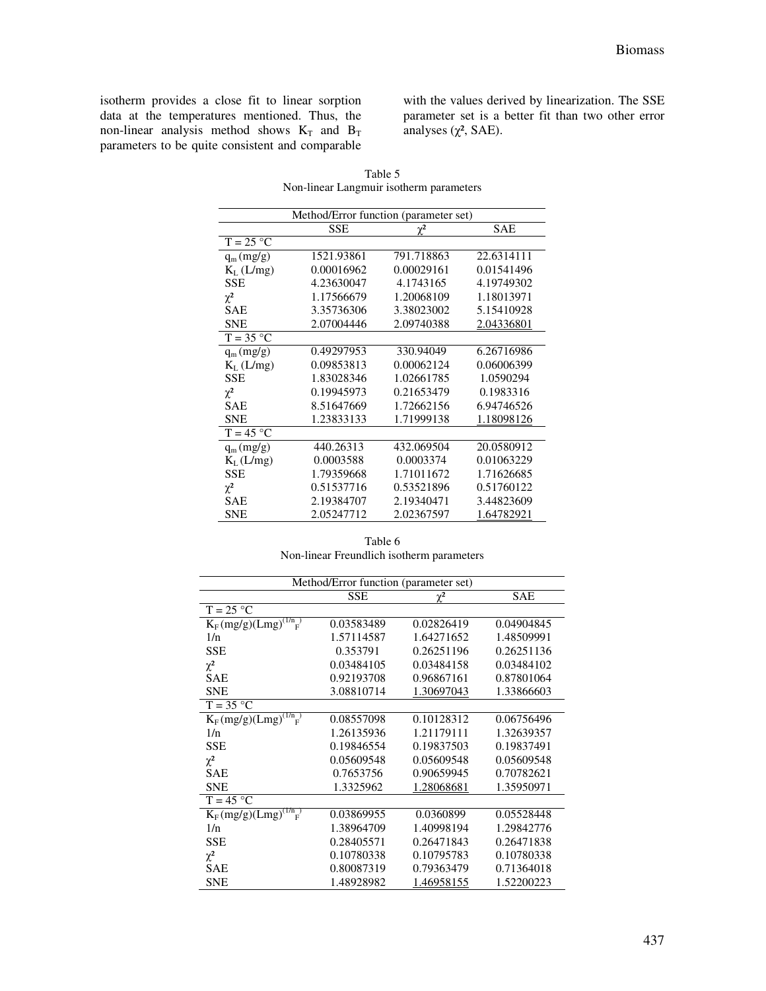isotherm provides a close fit to linear sorption data at the temperatures mentioned. Thus, the non-linear analysis method shows  $K_T$  and  $B_T$ parameters to be quite consistent and comparable with the values derived by linearization. The SSE parameter set is a better fit than two other error analyses  $(\chi^2, \text{SAE})$ .

|                       | Method/Error function (parameter set) |            |            |
|-----------------------|---------------------------------------|------------|------------|
|                       | <b>SSE</b>                            | $\chi^2$   | <b>SAE</b> |
| $T = 25 °C$           |                                       |            |            |
| $q_m(mg/g)$           | 1521.93861                            | 791.718863 | 22.6314111 |
| $K_L$ (L/mg)          | 0.00016962                            | 0.00029161 | 0.01541496 |
| <b>SSE</b>            | 4.23630047                            | 4.1743165  | 4.19749302 |
| $\chi^2$              | 1.17566679                            | 1.20068109 | 1.18013971 |
| <b>SAE</b>            | 3.35736306                            | 3.38023002 | 5.15410928 |
| <b>SNE</b>            | 2.07004446                            | 2.09740388 | 2.04336801 |
| $T = 35 °C$           |                                       |            |            |
| $q_m(mg/g)$           | 0.49297953                            | 330.94049  | 6.26716986 |
| $K_L$ (L/mg)          | 0.09853813                            | 0.00062124 | 0.06006399 |
| <b>SSE</b>            | 1.83028346                            | 1.02661785 | 1.0590294  |
| $\chi^2$              | 0.19945973                            | 0.21653479 | 0.1983316  |
| SAE                   | 8.51647669                            | 1.72662156 | 6.94746526 |
| <b>SNE</b>            | 1.23833133                            | 1.71999138 | 1.18098126 |
| $T = 45 °C$           |                                       |            |            |
| $q_m(mg/g)$           | 440.26313                             | 432.069504 | 20.0580912 |
| K <sub>L</sub> (L/mg) | 0.0003588                             | 0.0003374  | 0.01063229 |
| <b>SSE</b>            | 1.79359668                            | 1.71011672 | 1.71626685 |
| $\chi^2$              | 0.51537716                            | 0.53521896 | 0.51760122 |
| <b>SAE</b>            | 2.19384707                            | 2.19340471 | 3.44823609 |
| <b>SNE</b>            | 2.05247712                            | 2.02367597 | 1.64782921 |

Table 5 Non-linear Langmuir isotherm parameters

| Table 6                                   |  |  |  |
|-------------------------------------------|--|--|--|
| Non-linear Freundlich isotherm parameters |  |  |  |

| Method/Error function (parameter set) |            |            |            |  |
|---------------------------------------|------------|------------|------------|--|
|                                       | <b>SSE</b> | $\chi^2$   | <b>SAE</b> |  |
| $T = 25 °C$                           |            |            |            |  |
| $K_F (mg/g)(Lmg)^{(1/n)}$             | 0.03583489 | 0.02826419 | 0.04904845 |  |
| 1/n                                   | 1.57114587 | 1.64271652 | 1.48509991 |  |
| <b>SSE</b>                            | 0.353791   | 0.26251196 | 0.26251136 |  |
| $\chi^2$                              | 0.03484105 | 0.03484158 | 0.03484102 |  |
| <b>SAE</b>                            | 0.92193708 | 0.96867161 | 0.87801064 |  |
| <b>SNE</b>                            | 3.08810714 | 1.30697043 | 1.33866603 |  |
| $T = 35 °C$                           |            |            |            |  |
| $K_F (mg/g)(Lmg)^{(1/n)}$             | 0.08557098 | 0.10128312 | 0.06756496 |  |
| 1/n                                   | 1.26135936 | 1.21179111 | 1.32639357 |  |
| <b>SSE</b>                            | 0.19846554 | 0.19837503 | 0.19837491 |  |
| $\chi^2$                              | 0.05609548 | 0.05609548 | 0.05609548 |  |
| <b>SAE</b>                            | 0.7653756  | 0.90659945 | 0.70782621 |  |
| <b>SNE</b>                            | 1.3325962  | 1.28068681 | 1.35950971 |  |
| $T = 45 °C$                           |            |            |            |  |
| $K_F (mg/g)(Lmg)^{(1/n)}$             | 0.03869955 | 0.0360899  | 0.05528448 |  |
| 1/n                                   | 1.38964709 | 1.40998194 | 1.29842776 |  |
| <b>SSE</b>                            | 0.28405571 | 0.26471843 | 0.26471838 |  |
| $\chi^2$                              | 0.10780338 | 0.10795783 | 0.10780338 |  |
| <b>SAE</b>                            | 0.80087319 | 0.79363479 | 0.71364018 |  |
| <b>SNE</b>                            | 1.48928982 | 1.46958155 | 1.52200223 |  |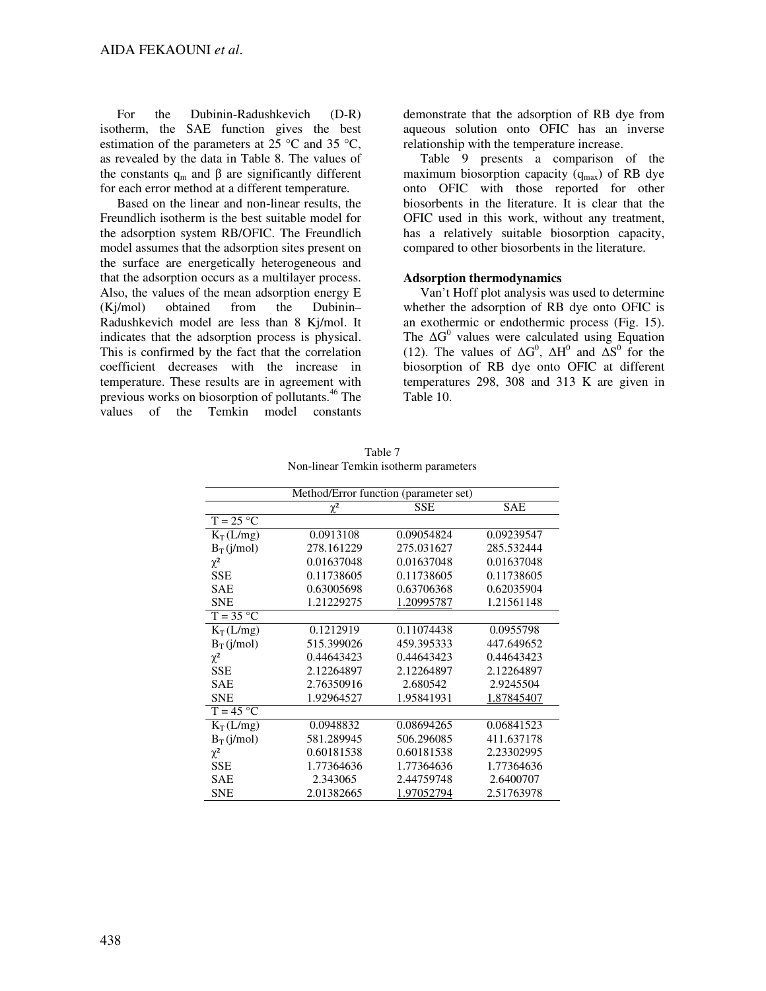For the Dubinin-Radushkevich (D-R) isotherm, the SAE function gives the best estimation of the parameters at 25 °C and 35 °C, as revealed by the data in Table 8. The values of the constants  $q_m$  and  $\beta$  are significantly different for each error method at a different temperature.

Based on the linear and non-linear results, the Freundlich isotherm is the best suitable model for the adsorption system RB/OFIC. The Freundlich model assumes that the adsorption sites present on the surface are energetically heterogeneous and that the adsorption occurs as a multilayer process. Also, the values of the mean adsorption energy E (Kj/mol) obtained from the Dubinin– Radushkevich model are less than 8 Kj/mol. It indicates that the adsorption process is physical. This is confirmed by the fact that the correlation coefficient decreases with the increase in temperature. These results are in agreement with previous works on biosorption of pollutants.<sup>46</sup> The values of the Temkin model constants

demonstrate that the adsorption of RB dye from aqueous solution onto OFIC has an inverse relationship with the temperature increase.

Table 9 presents a comparison of the maximum biosorption capacity  $(q_{max})$  of RB dye onto OFIC with those reported for other biosorbents in the literature. It is clear that the OFIC used in this work, without any treatment, has a relatively suitable biosorption capacity, compared to other biosorbents in the literature.

## **Adsorption thermodynamics**

Van't Hoff plot analysis was used to determine whether the adsorption of RB dye onto OFIC is an exothermic or endothermic process (Fig. 15). The  $\Delta G^0$  values were calculated using Equation (12). The values of  $\Delta G^0$ ,  $\Delta H^0$  and  $\Delta S^0$  for the biosorption of RB dye onto OFIC at different temperatures 298, 308 and 313 K are given in Table 10.

| Method/Error function (parameter set) |            |            |            |  |
|---------------------------------------|------------|------------|------------|--|
|                                       | $\chi^2$   | <b>SSE</b> | <b>SAE</b> |  |
| $T = 25 °C$                           |            |            |            |  |
| $K_T(L/mg)$                           | 0.0913108  | 0.09054824 | 0.09239547 |  |
| $B_T(i/mol)$                          | 278.161229 | 275.031627 | 285.532444 |  |
| $\chi^2$                              | 0.01637048 | 0.01637048 | 0.01637048 |  |
| <b>SSE</b>                            | 0.11738605 | 0.11738605 | 0.11738605 |  |
| <b>SAE</b>                            | 0.63005698 | 0.63706368 | 0.62035904 |  |
| <b>SNE</b>                            | 1.21229275 | 1.20995787 | 1.21561148 |  |
| $T = 35 °C$                           |            |            |            |  |
| $K_T(L/mg)$                           | 0.1212919  | 0.11074438 | 0.0955798  |  |
| $B_T(i/mol)$                          | 515.399026 | 459.395333 | 447.649652 |  |
| $\chi^2$                              | 0.44643423 | 0.44643423 | 0.44643423 |  |
| <b>SSE</b>                            | 2.12264897 | 2.12264897 | 2.12264897 |  |
| <b>SAE</b>                            | 2.76350916 | 2.680542   | 2.9245504  |  |
| <b>SNE</b>                            | 1.92964527 | 1.95841931 | 1.87845407 |  |
| $T = 45 °C$                           |            |            |            |  |
| $K_T(L/mg)$                           | 0.0948832  | 0.08694265 | 0.06841523 |  |
| $B_T(j/mol)$                          | 581.289945 | 506.296085 | 411.637178 |  |
| $\chi^2$                              | 0.60181538 | 0.60181538 | 2.23302995 |  |
| <b>SSE</b>                            | 1.77364636 | 1.77364636 | 1.77364636 |  |
| <b>SAE</b>                            | 2.343065   | 2.44759748 | 2.6400707  |  |
| <b>SNE</b>                            | 2.01382665 | 1.97052794 | 2.51763978 |  |

Table 7 Non-linear Temkin isotherm parameters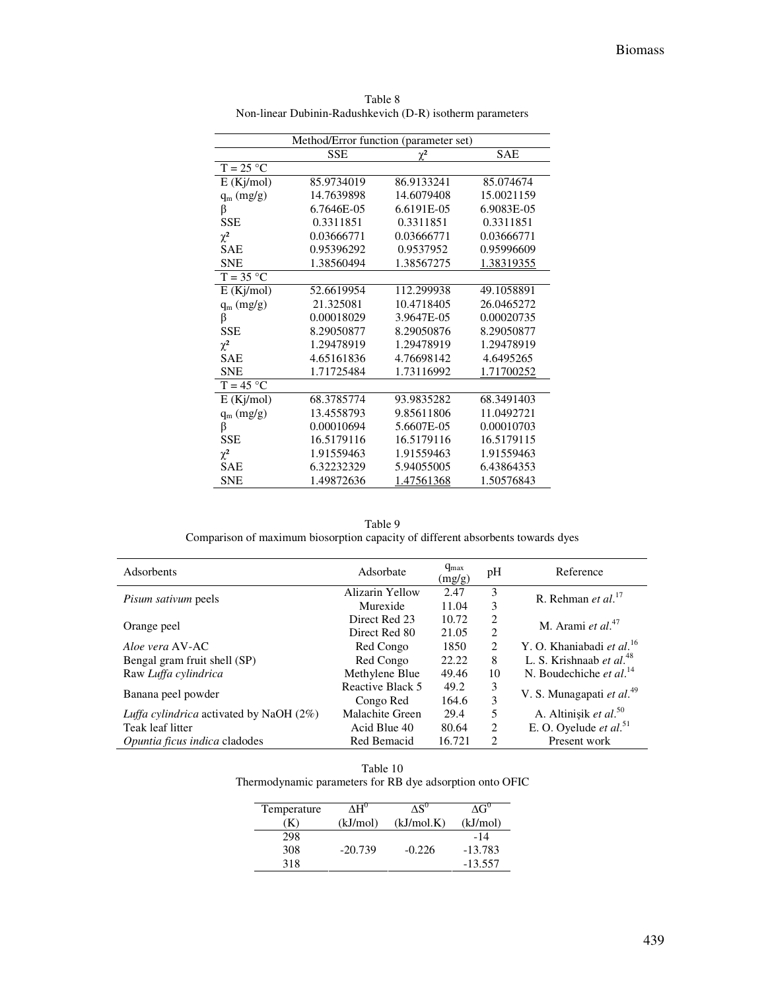| Method/Error function (parameter set) |            |            |            |  |
|---------------------------------------|------------|------------|------------|--|
|                                       | <b>SSE</b> | $\chi^2$   | <b>SAE</b> |  |
| $T = 25 °C$                           |            |            |            |  |
| E(Kj/mol)                             | 85.9734019 | 86.9133241 | 85.074674  |  |
| $q_m$ (mg/g)                          | 14.7639898 | 14.6079408 | 15.0021159 |  |
| β                                     | 6.7646E-05 | 6.6191E-05 | 6.9083E-05 |  |
| <b>SSE</b>                            | 0.3311851  | 0.3311851  | 0.3311851  |  |
| $\chi^2$                              | 0.03666771 | 0.03666771 | 0.03666771 |  |
| <b>SAE</b>                            | 0.95396292 | 0.9537952  | 0.95996609 |  |
| <b>SNE</b>                            | 1.38560494 | 1.38567275 | 1.38319355 |  |
| $T = 35 °C$                           |            |            |            |  |
| E(Kj/mol)                             | 52.6619954 | 112.299938 | 49.1058891 |  |
| $q_m (mg/g)$                          | 21.325081  | 10.4718405 | 26.0465272 |  |
| β                                     | 0.00018029 | 3.9647E-05 | 0.00020735 |  |
| <b>SSE</b>                            | 8.29050877 | 8.29050876 | 8.29050877 |  |
| $\chi^2$                              | 1.29478919 | 1.29478919 | 1.29478919 |  |
| <b>SAE</b>                            | 4.65161836 | 4.76698142 | 4.6495265  |  |
| <b>SNE</b>                            | 1.71725484 | 1.73116992 | 1.71700252 |  |
| $T = 45 °C$                           |            |            |            |  |
| E(Kj/mol)                             | 68.3785774 | 93.9835282 | 68.3491403 |  |
| $q_m (mg/g)$                          | 13.4558793 | 9.85611806 | 11.0492721 |  |
| β                                     | 0.00010694 | 5.6607E-05 | 0.00010703 |  |
| <b>SSE</b>                            | 16.5179116 | 16.5179116 | 16.5179115 |  |
| $\chi^2$                              | 1.91559463 | 1.91559463 | 1.91559463 |  |
| SAE                                   | 6.32232329 | 5.94055005 | 6.43864353 |  |
| <b>SNE</b>                            | 1.49872636 | 1.47561368 | 1.50576843 |  |

Table 8 Non-linear Dubinin-Radushkevich (D-R) isotherm parameters

Table 9 Comparison of maximum biosorption capacity of different absorbents towards dyes

| Adsorbents                                        | Adsorbate        | $q_{max}$<br>(mg/g) | pH                            | Reference                             |
|---------------------------------------------------|------------------|---------------------|-------------------------------|---------------------------------------|
| <i>Pisum sativum</i> peels                        | Alizarin Yellow  | 2.47                | 3                             | R. Rehman et al. $17$                 |
|                                                   | Murexide         | 11.04               | 3                             |                                       |
|                                                   | Direct Red 23    | 10.72               | 2                             | M. Arami et al. $47$                  |
| Orange peel                                       | Direct Red 80    | 21.05               | 2                             |                                       |
| Aloe vera AV-AC                                   | Red Congo        | 1850                | 2                             | Y. O. Khaniabadi et al. <sup>16</sup> |
| Bengal gram fruit shell (SP)                      | Red Congo        | 22.22               | 8                             | L. S. Krishnaab et al. <sup>48</sup>  |
| Raw Luffa cylindrica                              | Methylene Blue   | 49.46               | 10                            | N. Boudechiche et al. $^{14}$         |
|                                                   | Reactive Black 5 | 49.2                | 3                             |                                       |
| Banana peel powder                                | Congo Red        | 164.6               | 3                             | V. S. Munagapati et al. <sup>49</sup> |
| <i>Luffa cylindrica</i> activated by NaOH $(2\%)$ | Malachite Green  | 29.4                | 5                             | A. Altinişik et al. <sup>50</sup>     |
| Teak leaf litter                                  | Acid Blue 40     | 80.64               | $\mathfrak{D}$                | E. O. Oyelude et al. <sup>51</sup>    |
| Opuntia ficus indica cladodes                     | Red Bemacid      | 16.721              | $\mathfrak{D}_{\mathfrak{p}}$ | Present work                          |

Table 10 Thermodynamic parameters for RB dye adsorption onto OFIC

| Temperature | $\Delta H^0$ | $\Delta S^{0}$ | $\Lambda$ G <sup>0</sup> |
|-------------|--------------|----------------|--------------------------|
| ĸ           | (kJ/mol)     | (kJ/mol.K)     | (kJ/mol)                 |
| 298         |              |                | -14                      |
| 308         | $-20.739$    | $-0.226$       | $-13.783$                |
| 318         |              |                | $-13.557$                |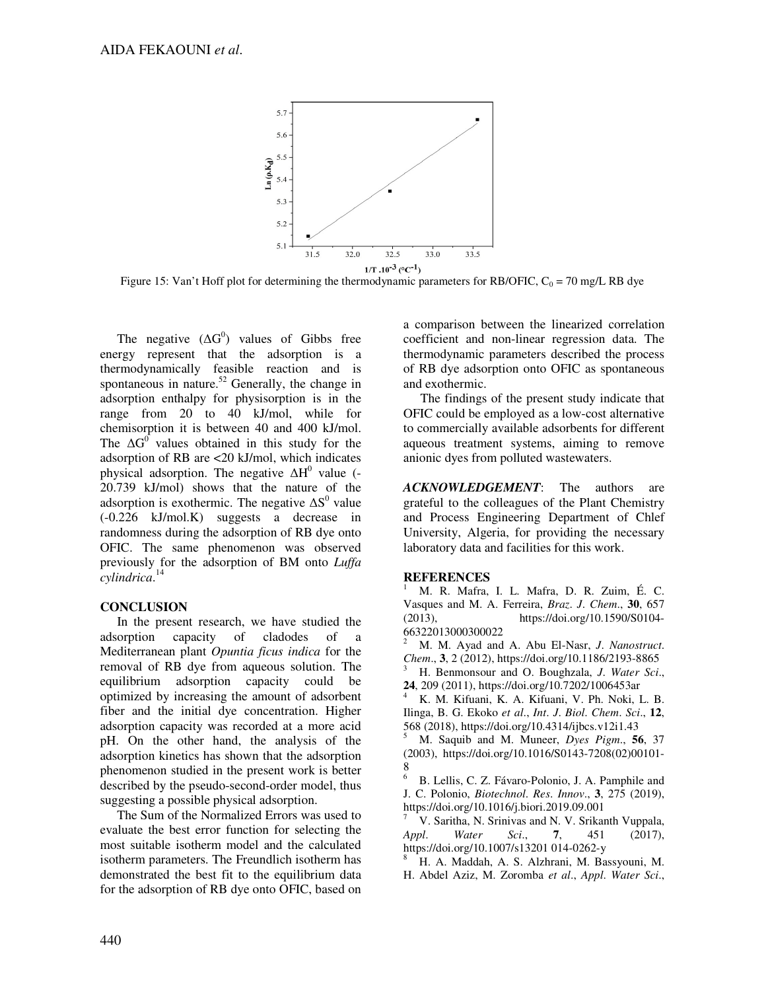

Figure 15: Van't Hoff plot for determining the thermodynamic parameters for RB/OFIC,  $C_0 = 70$  mg/L RB dye

The negative  $(\Delta G^0)$  values of Gibbs free energy represent that the adsorption is a thermodynamically feasible reaction and is spontaneous in nature. $52$  Generally, the change in adsorption enthalpy for physisorption is in the range from 20 to 40 kJ/mol, while for chemisorption it is between 40 and 400 kJ/mol. The  $\Delta G^0$  values obtained in this study for the adsorption of RB are <20 kJ/mol, which indicates physical adsorption. The negative  $\Delta H^0$  value (-20.739 kJ/mol) shows that the nature of the adsorption is exothermic. The negative  $\Delta S^0$  value (-0.226 kJ/mol.K) suggests a decrease in randomness during the adsorption of RB dye onto OFIC. The same phenomenon was observed previously for the adsorption of BM onto *Luffa cylindrica*. 14

## **CONCLUSION**

In the present research, we have studied the adsorption capacity of cladodes of a Mediterranean plant *Opuntia ficus indica* for the removal of RB dye from aqueous solution. The equilibrium adsorption capacity could be optimized by increasing the amount of adsorbent fiber and the initial dye concentration. Higher adsorption capacity was recorded at a more acid pH. On the other hand, the analysis of the adsorption kinetics has shown that the adsorption phenomenon studied in the present work is better described by the pseudo-second-order model, thus suggesting a possible physical adsorption.

The Sum of the Normalized Errors was used to evaluate the best error function for selecting the most suitable isotherm model and the calculated isotherm parameters. The Freundlich isotherm has demonstrated the best fit to the equilibrium data for the adsorption of RB dye onto OFIC, based on

a comparison between the linearized correlation coefficient and non-linear regression data. The thermodynamic parameters described the process of RB dye adsorption onto OFIC as spontaneous and exothermic.

The findings of the present study indicate that OFIC could be employed as a low-cost alternative to commercially available adsorbents for different aqueous treatment systems, aiming to remove anionic dyes from polluted wastewaters.

*ACKNOWLEDGEMENT*: The authors are grateful to the colleagues of the Plant Chemistry and Process Engineering Department of Chlef University, Algeria, for providing the necessary laboratory data and facilities for this work.

## **REFERENCES**

<sup>1</sup> M. R. Mafra, I. L. Mafra, D. R. Zuim, É. C. Vasques and M. A. Ferreira, *Braz*. *J*. *Chem*., **30**, 657 (2013), https://doi.org/10.1590/S0104- 66322013000300022

<sup>2</sup> M. M. Ayad and A. Abu El-Nasr, *J*. *Nanostruct*. *Chem*., **3**, 2 (2012), https://doi.org/10.1186/2193-8865

<sup>3</sup> H. Benmonsour and O. Boughzala, *J*. *Water Sci*., **24**, 209 (2011), https://doi.org/10.7202/1006453ar

<sup>4</sup> K. M. Kifuani, K. A. Kifuani, V. Ph. Noki, L. B. Ilinga, B. G. Ekoko *et al*., *Int*. *J*. *Biol*. *Chem*. *Sci*., **12**, 568 (2018), https://doi.org/10.4314/ijbcs.v12i1.43

<sup>5</sup> M. Saquib and M. Muneer, *Dyes Pigm*., **56**, 37 (2003), https://doi.org/10.1016/S0143-7208(02)00101- 8

<sup>6</sup> B. Lellis, C. Z. Fávaro-Polonio, J. A. Pamphile and J. C. Polonio, *Biotechnol*. *Res*. *Innov*., **3**, 275 (2019), https://doi.org/10.1016/j.biori.2019.09.001

V. Saritha, N. Srinivas and N. V. Srikanth Vuppala, *Appl*. *Water Sci*., **7**, 451 (2017), https://doi.org/10.1007/s13201 014-0262-y

<sup>8</sup> H. A. Maddah, A. S. Alzhrani, M. Bassyouni, M. H. Abdel Aziz, M. Zoromba *et al*., *Appl*. *Water Sci*.,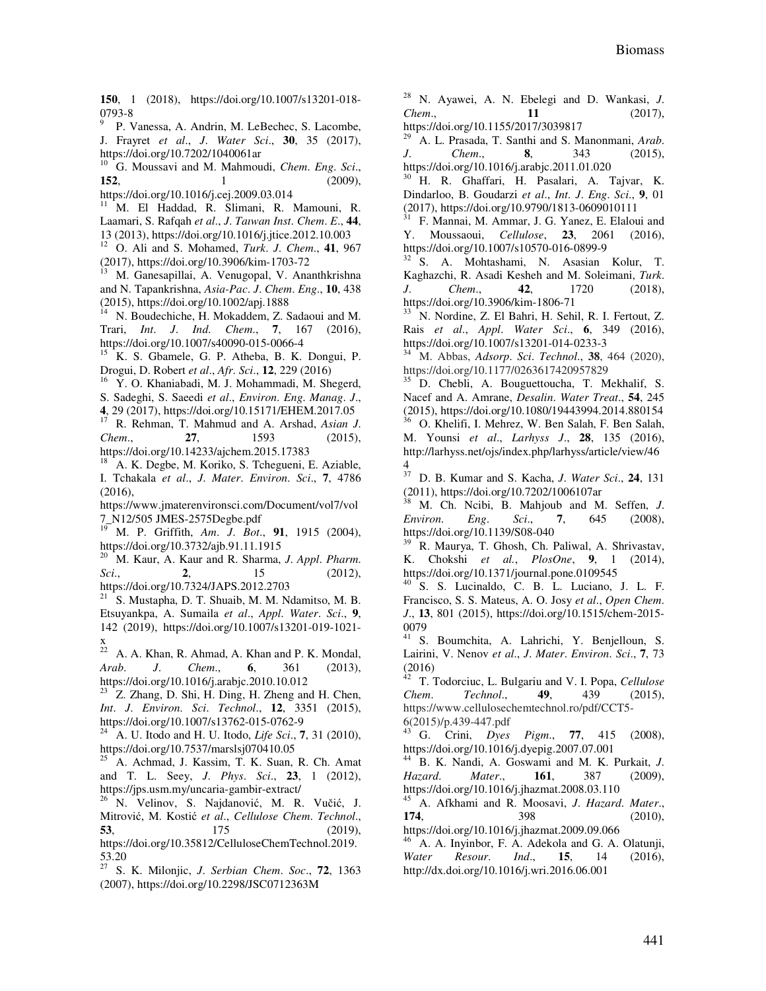**150**, 1 (2018), https://doi.org/10.1007/s13201-018- 0793-8

9 P. Vanessa, A. Andrin, M. LeBechec, S. Lacombe, J. Frayret *et al*., *J*. *Water Sci*., **30**, 35 (2017), https://doi.org/10.7202/1040061ar

<sup>10</sup> G. Moussavi and M. Mahmoudi, *Chem*. *Eng*. *Sci*., **152**, 1 (2009),

https://doi.org/10.1016/j.cej.2009.03.014

<sup>11</sup> M. El Haddad, R. Slimani, R. Mamouni, R. Laamari, S. Rafqah *et al*., *J*. *Taıwan Inst*. *Chem*. *E*., **44**, 13 (2013), https://doi.org/10.1016/j.jtice.2012.10.003

<sup>12</sup> O. Ali and S. Mohamed, *Turk*. *J*. *Chem*., **41**, 967 (2017), https://doi.org/10.3906/kim-1703-72

M. Ganesapillai, A. Venugopal, V. Ananthkrishna and N. Tapankrishna, *Asia-Pac*. *J*. *Chem*. *Eng*., **10**, 438 (2015), https://doi.org/10.1002/apj.1888

<sup>14</sup> N. Boudechiche, H. Mokaddem, Z. Sadaoui and M. Trari, *Int*. *J*. *Ind*. *Chem*., **7**, 167 (2016), https://doi.org/10.1007/s40090-015-0066-4

<sup>15</sup> K. S. Gbamele, G. P. Atheba, B. K. Dongui, P. Drogui, D. Robert *et al*., *Afr*. *Sci*., **12**, 229 (2016)

Y. O. Khaniabadi, M. J. Mohammadi, M. Shegerd,

S. Sadeghi, S. Saeedi *et al*., *Environ*. *Eng*. *Manag*. *J*.,

**4**, 29 (2017), https://doi.org/10.15171/EHEM.2017.05

<sup>17</sup> R. Rehman, T. Mahmud and A. Arshad, *Asian J*. *Chem*., **27**, 1593 (2015), https://doi.org/10.14233/ajchem.2015.17383

<sup>18</sup> A. K. Degbe, M. Koriko, S. Tchegueni, E. Aziable, I. Tchakala *et al*., *J*. *Mater*. *Environ*. *Sci*., **7**, 4786 (2016),

https://www.jmaterenvironsci.com/Document/vol7/vol 7\_N12/505 JMES-2575Degbe.pdf

<sup>19</sup> M. P. Griffith, *Am*. *J*. *Bot*., **91**, 1915 (2004), https://doi.org/10.3732/ajb.91.11.1915

<sup>20</sup> M. Kaur, A. Kaur and R. Sharma, *J*. *Appl*. *Pharm*. *Sci*., **2**, 15 (2012), https://doi.org/10.7324/JAPS.2012.2703

<sup>21</sup> S. Mustapha, D. T. Shuaib, M. M. Ndamitso, M. B. Etsuyankpa, A. Sumaila *et al*., *Appl*. *Water*. *Sci*., **9**, 142 (2019), https://doi.org/10.1007/s13201-019-1021 x

 $22$  A. A. Khan, R. Ahmad, A. Khan and P. K. Mondal, *Arab*. *J*. *Chem*., **6**, 361 (2013), https://doi.org/10.1016/j.arabjc.2010.10.012

<sup>23</sup> Z. Zhang, D. Shi, H. Ding, H. Zheng and H. Chen, *Int*. *J*. *Environ*. *Sci*. *Technol*., **12**, 3351 (2015), https://doi.org/10.1007/s13762-015-0762-9

<sup>24</sup> A. U. Itodo and H. U. Itodo, *Life Sci*., **7**, 31 (2010), https://doi.org/10.7537/marslsj070410.05

<sup>25</sup> A. Achmad, J. Kassim, T. K. Suan, R. Ch. Amat and T. L. Seey, *J*. *Phys*. *Sci*., **23**, 1 (2012), https://jps.usm.my/uncaria-gambir-extract/

<sup>26</sup> N. Velinov, S. Najdanović, M. R. Vučić, J. Mitrović, M. Kostić *et al*., *Cellulose Chem*. *Technol*., **53**, 175 (2019),

https://doi.org/10.35812/CelluloseChemTechnol.2019. 53.20

<sup>27</sup> S. K. Milonjic, *J*. *Serbian Chem*. *Soc*., **72**, 1363 (2007), https://doi.org/10.2298/JSC0712363M

<sup>28</sup> N. Ayawei, A. N. Ebelegi and D. Wankasi, *J*. *Chem*., **11** (2017),

https://doi.org/10.1155/2017/3039817

<sup>29</sup> A. L. Prasada, T. Santhi and S. Manonmani, *Arab*. *J*. *Chem*., **8**, 343 (2015), https://doi.org/10.1016/j.arabjc.2011.01.020

<sup>30</sup> H. R. Ghaffari, H. Pasalari, A. Tajvar, K. Dindarloo, B. Goudarzi *et al*., *Int*. *J*. *Eng*. *Sci*., **9**, 01 (2017), https://doi.org/10.9790/1813-0609010111

<sup>31</sup> F. Mannai, M. Ammar, J. G. Yanez, E. Elaloui and Y. Moussaoui, *Cellulose*, **23**, 2061 (2016), https://doi.org/10.1007/s10570-016-0899-9

<sup>32</sup> S. A. Mohtashami, N. Asasian Kolur, T. Kaghazchi, R. Asadi Kesheh and M. Soleimani, *Turk*. *J*. *Chem*., **42**, 1720 (2018), https://doi.org/10.3906/kim-1806-71

<sup>33</sup> N. Nordine, Z. El Bahri, H. Sehil, R. I. Fertout, Z. Rais *et al*., *Appl*. *Water Sci*., **6**, 349 (2016), https://doi.org/10.1007/s13201-014-0233-3

<sup>34</sup> M. Abbas, *Adsorp*. *Sci*. *Technol*., **38**, 464 (2020), https://doi.org/10.1177/0263617420957829

<sup>35</sup> D. Chebli, A. Bouguettoucha, T. Mekhalif, S. Nacef and A. Amrane, *Desalin*. *Water Treat*., **54**, 245 (2015), https://doi.org/10.1080/19443994.2014.880154

<sup>36</sup> O. Khelifi, I. Mehrez, W. Ben Salah, F. Ben Salah, M. Younsi *et al*., *Larhyss J*., **28**, 135 (2016), http://larhyss.net/ojs/index.php/larhyss/article/view/46

37 <sup>37</sup> D. B. Kumar and S. Kacha, *J*. *Water Sci*., **24**, 131 (2011), https://doi.org/10.7202/1006107ar

<sup>38</sup> M. Ch. Ncibi, B. Mahjoub and M. Seffen, *J*. *Environ*. *Eng*. *Sci*., **7**, 645 (2008), https://doi.org/10.1139/S08-040

<sup>39</sup> R. Maurya, T. Ghosh, Ch. Paliwal, A. Shrivastav, K. Chokshi *et al.*, *PlosOne*, **9**, 1 (2014), https://doi.org/10.1371/journal.pone.0109545

 $40$  S. S. Lucinaldo, C. B. L. Luciano, J. L. F. Francisco, S. S. Mateus, A. O. Josy *et al*., *Open Chem*. *J*., **13**, 801 (2015), https://doi.org/10.1515/chem-2015- 0079

<sup>41</sup> S. Boumchita, A. Lahrichi, Y. Benjelloun, S. Lairini, V. Nenov *et al*., *J*. *Mater*. *Environ*. *Sci*., **7**, 73  $(2016)$ 

<sup>42</sup> T. Todorciuc, L. Bulgariu and V. I. Popa, *Cellulose Chem*. *Technol*., **49**, 439 (2015), https://www.cellulosechemtechnol.ro/pdf/CCT5- 6(2015)/p.439-447.pdf

<sup>43</sup> G. Crini, *Dyes Pigm*., **77**, 415 (2008), https://doi.org/10.1016/j.dyepig.2007.07.001

<sup>44</sup> B. K. Nandi, A. Goswami and M. K. Purkait, *J*. *Hazard*. *Mater*., **161**, 387 (2009), https://doi.org/10.1016/j.jhazmat.2008.03.110

<sup>45</sup> A. Afkhami and R. Moosavi, *J*. *Hazard*. *Mater*., **174**, 398 (2010),

https://doi.org/10.1016/j.jhazmat.2009.09.066

A. A. Inyinbor, F. A. Adekola and G. A. Olatunji, *Water Resour*. *Ind*., **15**, 14 (2016), http://dx.doi.org/10.1016/j.wri.2016.06.001